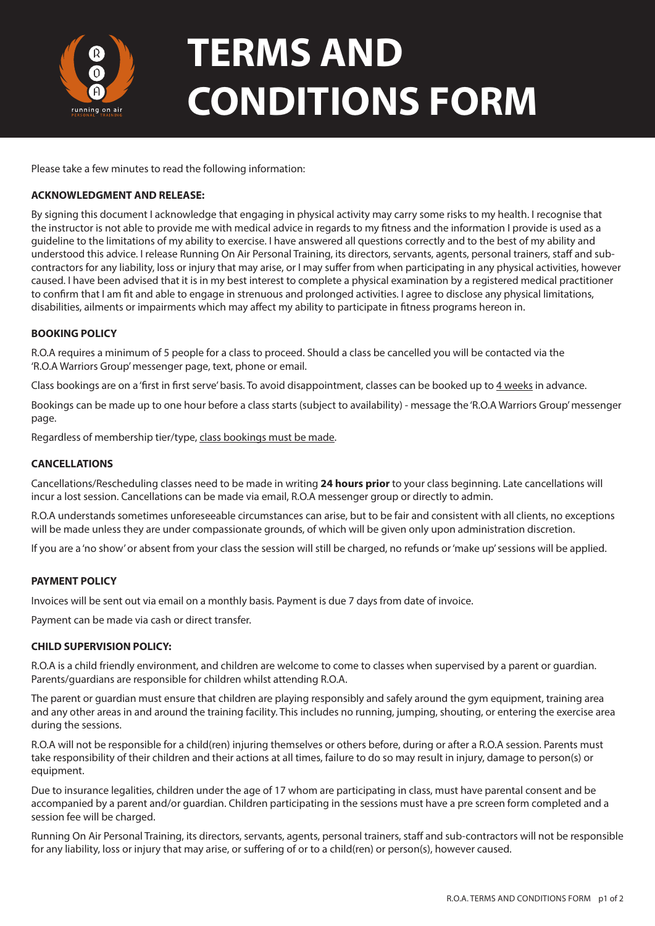

# **TERMS AND CONDITIONS FORM**

Please take a few minutes to read the following information:

## **ACKNOWLEDGMENT AND RELEASE:**

By signing this document I acknowledge that engaging in physical activity may carry some risks to my health. I recognise that the instructor is not able to provide me with medical advice in regards to my fitness and the information I provide is used as a guideline to the limitations of my ability to exercise. I have answered all questions correctly and to the best of my ability and understood this advice. I release Running On Air Personal Training, its directors, servants, agents, personal trainers, staff and subcontractors for any liability, loss or injury that may arise, or I may suffer from when participating in any physical activities, however caused. I have been advised that it is in my best interest to complete a physical examination by a registered medical practitioner to confirm that I am fit and able to engage in strenuous and prolonged activities. I agree to disclose any physical limitations, disabilities, ailments or impairments which may affect my ability to participate in fitness programs hereon in.

### **BOOKING POLICY**

R.O.A requires a minimum of 5 people for a class to proceed. Should a class be cancelled you will be contacted via the 'R.O.A Warriors Group' messenger page, text, phone or email.

Class bookings are on a 'first in first serve' basis. To avoid disappointment, classes can be booked up to 4 weeks in advance.

Bookings can be made up to one hour before a class starts (subject to availability) - message the 'R.O.A Warriors Group' messenger page.

Regardless of membership tier/type, class bookings must be made.

### **CANCELLATIONS**

Cancellations/Rescheduling classes need to be made in writing **24 hours prior** to your class beginning. Late cancellations will incur a lost session. Cancellations can be made via email, R.O.A messenger group or directly to admin.

R.O.A understands sometimes unforeseeable circumstances can arise, but to be fair and consistent with all clients, no exceptions will be made unless they are under compassionate grounds, of which will be given only upon administration discretion.

If you are a 'no show' or absent from your class the session will still be charged, no refunds or 'make up' sessions will be applied.

### **PAYMENT POLICY**

Invoices will be sent out via email on a monthly basis. Payment is due 7 days from date of invoice.

Payment can be made via cash or direct transfer.

### **CHILD SUPERVISION POLICY:**

R.O.A is a child friendly environment, and children are welcome to come to classes when supervised by a parent or guardian. Parents/guardians are responsible for children whilst attending R.O.A.

The parent or guardian must ensure that children are playing responsibly and safely around the gym equipment, training area and any other areas in and around the training facility. This includes no running, jumping, shouting, or entering the exercise area during the sessions.

R.O.A will not be responsible for a child(ren) injuring themselves or others before, during or after a R.O.A session. Parents must take responsibility of their children and their actions at all times, failure to do so may result in injury, damage to person(s) or equipment.

Due to insurance legalities, children under the age of 17 whom are participating in class, must have parental consent and be accompanied by a parent and/or guardian. Children participating in the sessions must have a pre screen form completed and a session fee will be charged.

Running On Air Personal Training, its directors, servants, agents, personal trainers, staff and sub-contractors will not be responsible for any liability, loss or injury that may arise, or suffering of or to a child(ren) or person(s), however caused.